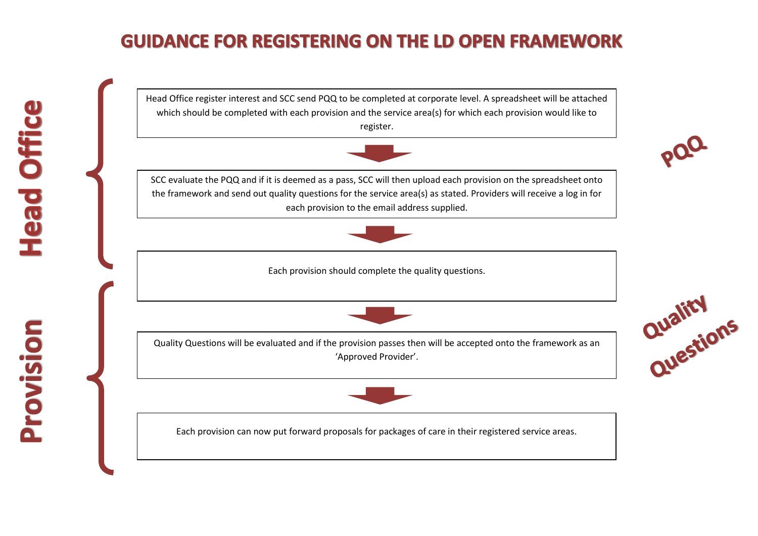## **GUIDANCE FOR REGISTERING ON THE LD OPEN FRAMEWORK**

Head Office register interest and SCC send PQQ to be completed at corporate level. A spreadsheet will be attached which should be completed with each provision and the service area(s) for which each provision would like to register.



SCC evaluate the PQQ and if it is deemed as a pass, SCC will then upload each provision on the spreadsheet onto the framework and send out quality questions for the service area(s) as stated. Providers will receive a log in for each provision to the email address supplied.



Each provision should complete the quality questions.



Quality Questions will be evaluated and if the provision passes then will be accepted onto the framework as an 'Approved Provider'.



Each provision can now put forward proposals for packages of care in their registered service areas.